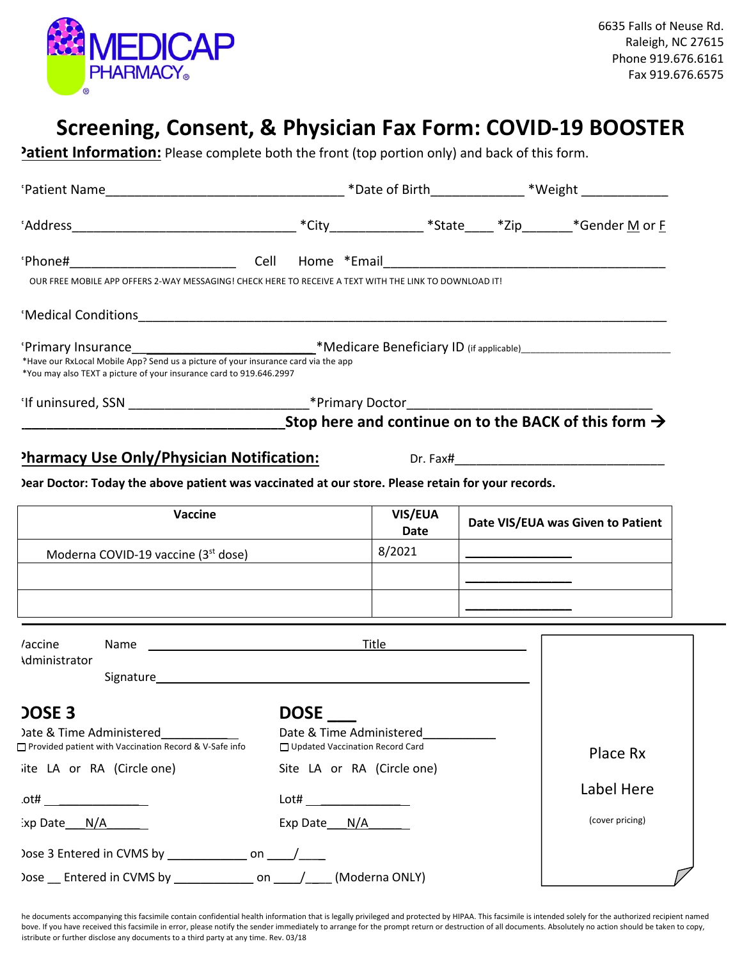

## **Screening, Consent, & Physician Fax Form: COVID-19 BOOSTER**

**Patient Information:** Please complete both the front (top portion only) and back of this form.

| OUR FREE MOBILE APP OFFERS 2-WAY MESSAGING! CHECK HERE TO RECEIVE A TEXT WITH THE LINK TO DOWNLOAD IT!                                                                                                                                                                                       |                                                                                                                                                                                                                                          |                 |                                   |                 |  |
|----------------------------------------------------------------------------------------------------------------------------------------------------------------------------------------------------------------------------------------------------------------------------------------------|------------------------------------------------------------------------------------------------------------------------------------------------------------------------------------------------------------------------------------------|-----------------|-----------------------------------|-----------------|--|
| Medical Conditions <b>contract to the contract of the contract of the contract of the contract of the contract of the contract of the contract of the contract of the contract of the contract of the contract of the contract o</b>                                                         |                                                                                                                                                                                                                                          |                 |                                   |                 |  |
| 'Primary Insurance <b>Mate and Contains and Contract Primary ID</b> (if applicable) <b>Contract Primary Insurance</b> 1997-1997<br>*Have our RxLocal Mobile App? Send us a picture of your insurance card via the app<br>*You may also TEXT a picture of your insurance card to 919.646.2997 |                                                                                                                                                                                                                                          |                 |                                   |                 |  |
|                                                                                                                                                                                                                                                                                              |                                                                                                                                                                                                                                          |                 |                                   |                 |  |
| $\sim$ Stop here and continue on to the BACK of this form $\rightarrow$                                                                                                                                                                                                                      |                                                                                                                                                                                                                                          |                 |                                   |                 |  |
| <b>Pharmacy Use Only/Physician Notification:</b> Dr. Fax# Dr. Turn Community Community Pharmacy Use Only                                                                                                                                                                                     |                                                                                                                                                                                                                                          |                 |                                   |                 |  |
| Jear Doctor: Today the above patient was vaccinated at our store. Please retain for your records.                                                                                                                                                                                            |                                                                                                                                                                                                                                          |                 |                                   |                 |  |
|                                                                                                                                                                                                                                                                                              |                                                                                                                                                                                                                                          |                 |                                   |                 |  |
| Vaccine                                                                                                                                                                                                                                                                                      |                                                                                                                                                                                                                                          | VIS/EUA<br>Date | Date VIS/EUA was Given to Patient |                 |  |
| Moderna COVID-19 vaccine (3 <sup>st</sup> dose)                                                                                                                                                                                                                                              |                                                                                                                                                                                                                                          | 8/2021          |                                   |                 |  |
|                                                                                                                                                                                                                                                                                              |                                                                                                                                                                                                                                          |                 |                                   |                 |  |
|                                                                                                                                                                                                                                                                                              |                                                                                                                                                                                                                                          |                 |                                   |                 |  |
| Name<br>accine/                                                                                                                                                                                                                                                                              | <b>Title <i>Company of the Company of the Company of the Company of the Company of the Company of the Company of the Company of the Company of the Company of the Company of the Company of the Company of the Company of the Co</i></b> |                 |                                   |                 |  |
| <b>Administrator</b><br>Signature and the state of the state of the state of the state of the state of the state of the state of the state of the state of the state of the state of the state of the state of the state of the state of the state of                                        |                                                                                                                                                                                                                                          |                 |                                   |                 |  |
| <b>DOSE 3</b>                                                                                                                                                                                                                                                                                | DOSE_                                                                                                                                                                                                                                    |                 |                                   |                 |  |
| Date & Time Administered<br>□ Provided patient with Vaccination Record & V-Safe info                                                                                                                                                                                                         | Date & Time Administered<br>□ Updated Vaccination Record Card                                                                                                                                                                            |                 |                                   | Place Rx        |  |
| ite LA or RA (Circle one)                                                                                                                                                                                                                                                                    | Site LA or RA (Circle one)                                                                                                                                                                                                               |                 |                                   |                 |  |
| $\mathsf{ott}$ and $\mathsf{out}$ and $\mathsf{out}$                                                                                                                                                                                                                                         |                                                                                                                                                                                                                                          |                 |                                   | Label Here      |  |
| $\frac{1}{2}$ xp Date $N/A$                                                                                                                                                                                                                                                                  | Exp Date N/A                                                                                                                                                                                                                             |                 |                                   | (cover pricing) |  |
|                                                                                                                                                                                                                                                                                              |                                                                                                                                                                                                                                          |                 |                                   |                 |  |
| Dose __ Entered in CVMS by _______________ on _____/ _____ (Moderna ONLY)                                                                                                                                                                                                                    |                                                                                                                                                                                                                                          |                 |                                   |                 |  |

he documents accompanying this facsimile contain confidential health information that is legally privileged and protected by HIPAA. This facsimile is intended solely for the authorized recipient named bove. If you have received this facsimile in error, please notify the sender immediately to arrange for the prompt return or destruction of all documents. Absolutely no action should be taken to copy, istribute or further disclose any documents to a third party at any time. Rev. 03/18